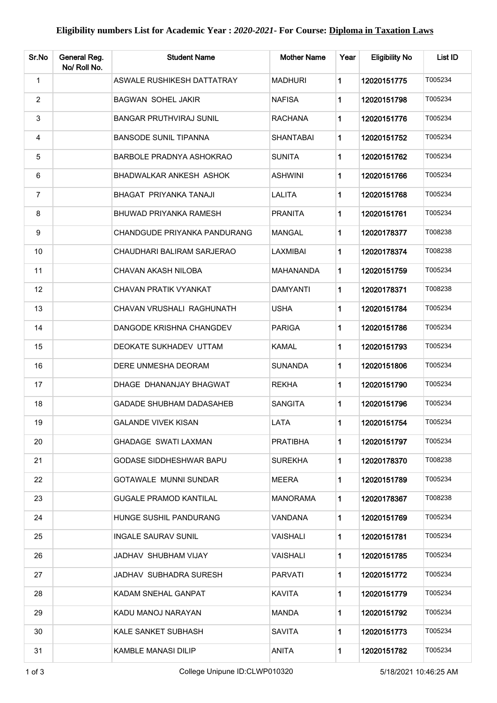| Sr.No          | General Reg.<br>No/ Roll No. | <b>Student Name</b>             | <b>Mother Name</b> | Year        | <b>Eligibility No</b> | List ID |
|----------------|------------------------------|---------------------------------|--------------------|-------------|-----------------------|---------|
| $\mathbf{1}$   |                              | ASWALE RUSHIKESH DATTATRAY      | <b>MADHURI</b>     | 1           | 12020151775           | T005234 |
| $\overline{2}$ |                              | <b>BAGWAN SOHEL JAKIR</b>       | <b>NAFISA</b>      | 1           | 12020151798           | T005234 |
| 3              |                              | <b>BANGAR PRUTHVIRAJ SUNIL</b>  | <b>RACHANA</b>     | 1           | 12020151776           | T005234 |
| 4              |                              | <b>BANSODE SUNIL TIPANNA</b>    | <b>SHANTABAI</b>   | 1           | 12020151752           | T005234 |
| 5              |                              | BARBOLE PRADNYA ASHOKRAO        | <b>SUNITA</b>      | 1           | 12020151762           | T005234 |
| 6              |                              | BHADWALKAR ANKESH ASHOK         | <b>ASHWINI</b>     | 1           | 12020151766           | T005234 |
| $\overline{7}$ |                              | BHAGAT PRIYANKA TANAJI          | <b>LALITA</b>      | 1           | 12020151768           | T005234 |
| 8              |                              | BHUWAD PRIYANKA RAMESH          | <b>PRANITA</b>     | 1           | 12020151761           | T005234 |
| 9              |                              | CHANDGUDE PRIYANKA PANDURANG    | <b>MANGAL</b>      | 1           | 12020178377           | T008238 |
| 10             |                              | CHAUDHARI BALIRAM SARJERAO      | LAXMIBAI           | 1           | 12020178374           | T008238 |
| 11             |                              | CHAVAN AKASH NILOBA             | MAHANANDA          | 1           | 12020151759           | T005234 |
| 12             |                              | CHAVAN PRATIK VYANKAT           | <b>DAMYANTI</b>    | 1           | 12020178371           | T008238 |
| 13             |                              | CHAVAN VRUSHALI RAGHUNATH       | <b>USHA</b>        | 1           | 12020151784           | T005234 |
| 14             |                              | DANGODE KRISHNA CHANGDEV        | <b>PARIGA</b>      | 1           | 12020151786           | T005234 |
| 15             |                              | DEOKATE SUKHADEV UTTAM          | <b>KAMAL</b>       | 1           | 12020151793           | T005234 |
| 16             |                              | DERE UNMESHA DEORAM             | <b>SUNANDA</b>     | 1           | 12020151806           | T005234 |
| 17             |                              | DHAGE DHANANJAY BHAGWAT         | <b>REKHA</b>       | 1           | 12020151790           | T005234 |
| 18             |                              | <b>GADADE SHUBHAM DADASAHEB</b> | <b>SANGITA</b>     | 1           | 12020151796           | T005234 |
| 19             |                              | <b>GALANDE VIVEK KISAN</b>      | LATA               | 1           | 12020151754           | T005234 |
| 20             |                              | GHADAGE SWATI LAXMAN            | <b>PRATIBHA</b>    | 1           | 12020151797           | T005234 |
| 21             |                              | <b>GODASE SIDDHESHWAR BAPU</b>  | <b>SUREKHA</b>     | $\mathbf 1$ | 12020178370           | T008238 |
| 22             |                              | GOTAWALE MUNNI SUNDAR           | MEERA              | 1           | 12020151789           | T005234 |
| 23             |                              | <b>GUGALE PRAMOD KANTILAL</b>   | <b>MANORAMA</b>    | 1           | 12020178367           | T008238 |
| 24             |                              | HUNGE SUSHIL PANDURANG          | VANDANA            | $\mathbf 1$ | 12020151769           | T005234 |
| 25             |                              | INGALE SAURAV SUNIL             | <b>VAISHALI</b>    | 1           | 12020151781           | T005234 |
| 26             |                              | JADHAV SHUBHAM VIJAY            | VAISHALI           | 1           | 12020151785           | T005234 |
| 27             |                              | JADHAV SUBHADRA SURESH          | <b>PARVATI</b>     | 1           | 12020151772           | T005234 |
| 28             |                              | KADAM SNEHAL GANPAT             | <b>KAVITA</b>      | 1           | 12020151779           | T005234 |
| 29             |                              | KADU MANOJ NARAYAN              | <b>MANDA</b>       | 1           | 12020151792           | T005234 |
| 30             |                              | KALE SANKET SUBHASH             | <b>SAVITA</b>      | 1           | 12020151773           | T005234 |
| 31             |                              | KAMBLE MANASI DILIP             | <b>ANITA</b>       | 1           | 12020151782           | T005234 |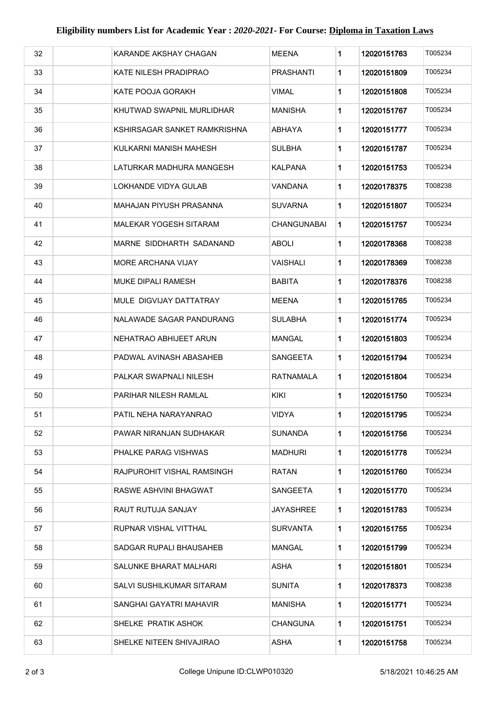| 32 | KARANDE AKSHAY CHAGAN          | <b>MEENA</b>    | 1 | 12020151763 | T005234 |
|----|--------------------------------|-----------------|---|-------------|---------|
| 33 | KATE NILESH PRADIPRAO          | PRASHANTI       | 1 | 12020151809 | T005234 |
| 34 | KATE POOJA GORAKH              | <b>VIMAL</b>    | 1 | 12020151808 | T005234 |
| 35 | KHUTWAD SWAPNIL MURLIDHAR      | MANISHA         | 1 | 12020151767 | T005234 |
| 36 | KSHIRSAGAR SANKET RAMKRISHNA   | ABHAYA          | 1 | 12020151777 | T005234 |
| 37 | KULKARNI MANISH MAHESH         | SULBHA          | 1 | 12020151787 | T005234 |
| 38 | LATURKAR MADHURA MANGESH       | <b>KALPANA</b>  | 1 | 12020151753 | T005234 |
| 39 | LOKHANDE VIDYA GULAB           | VANDANA         | 1 | 12020178375 | T008238 |
| 40 | <b>MAHAJAN PIYUSH PRASANNA</b> | <b>SUVARNA</b>  | 1 | 12020151807 | T005234 |
| 41 | MALEKAR YOGESH SITARAM         | CHANGUNABAI     | 1 | 12020151757 | T005234 |
| 42 | MARNE SIDDHARTH SADANAND       | <b>ABOLI</b>    | 1 | 12020178368 | T008238 |
| 43 | <b>MORE ARCHANA VIJAY</b>      | <b>VAISHALI</b> | 1 | 12020178369 | T008238 |
| 44 | <b>MUKE DIPALI RAMESH</b>      | <b>BABITA</b>   | 1 | 12020178376 | T008238 |
| 45 | MULE DIGVIJAY DATTATRAY        | <b>MEENA</b>    | 1 | 12020151765 | T005234 |
| 46 | NALAWADE SAGAR PANDURANG       | SULABHA         | 1 | 12020151774 | T005234 |
| 47 | NEHATRAO ABHIJEET ARUN         | <b>MANGAL</b>   | 1 | 12020151803 | T005234 |
| 48 | PADWAL AVINASH ABASAHEB        | SANGEETA        | 1 | 12020151794 | T005234 |
| 49 | PALKAR SWAPNALI NILESH         | RATNAMALA       | 1 | 12020151804 | T005234 |
| 50 | PARIHAR NILESH RAMLAL          | KIKI            | 1 | 12020151750 | T005234 |
| 51 | PATIL NEHA NARAYANRAO          | <b>VIDYA</b>    | 1 | 12020151795 | T005234 |
| 52 | PAWAR NIRANJAN SUDHAKAR        | SUNANDA         | 1 | 12020151756 | T005234 |
| 53 | PHALKE PARAG VISHWAS           | MADHURI         | 1 | 12020151778 | T005234 |
| 54 | RAJPUROHIT VISHAL RAMSINGH     | RATAN           | 1 | 12020151760 | T005234 |
| 55 | RASWE ASHVINI BHAGWAT          | SANGEETA        | 1 | 12020151770 | T005234 |
| 56 | RAUT RUTUJA SANJAY             | JAYASHREE       | 1 | 12020151783 | T005234 |
| 57 | RUPNAR VISHAL VITTHAL          | SURVANTA        | 1 | 12020151755 | T005234 |
| 58 | SADGAR RUPALI BHAUSAHEB        | MANGAL          | 1 | 12020151799 | T005234 |
| 59 | SALUNKE BHARAT MALHARI         | ASHA            | 1 | 12020151801 | T005234 |
| 60 | SALVI SUSHILKUMAR SITARAM      | <b>SUNITA</b>   | 1 | 12020178373 | T008238 |
| 61 | SANGHAI GAYATRI MAHAVIR        | MANISHA         | 1 | 12020151771 | T005234 |
| 62 | SHELKE PRATIK ASHOK            | <b>CHANGUNA</b> | 1 | 12020151751 | T005234 |
| 63 | SHELKE NITEEN SHIVAJIRAO       | ASHA            | 1 | 12020151758 | T005234 |